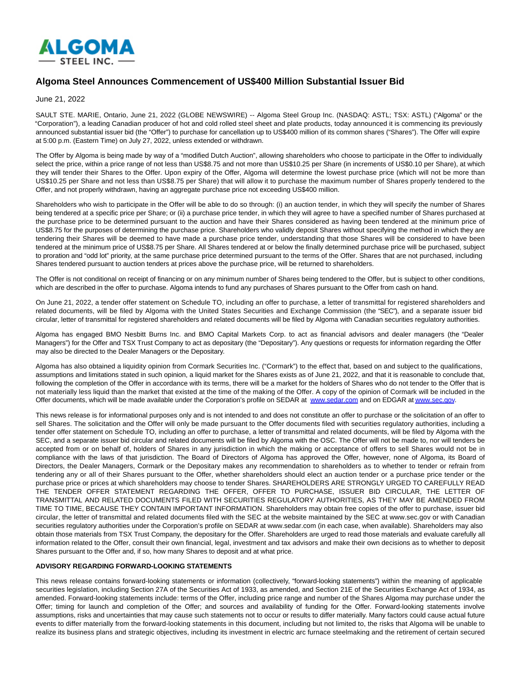

## **Algoma Steel Announces Commencement of US\$400 Million Substantial Issuer Bid**

June 21, 2022

SAULT STE. MARIE, Ontario, June 21, 2022 (GLOBE NEWSWIRE) -- Algoma Steel Group Inc. (NASDAQ: ASTL; TSX: ASTL) ("Algoma" or the "Corporation"), a leading Canadian producer of hot and cold rolled steel sheet and plate products, today announced it is commencing its previously announced substantial issuer bid (the "Offer") to purchase for cancellation up to US\$400 million of its common shares ("Shares"). The Offer will expire at 5:00 p.m. (Eastern Time) on July 27, 2022, unless extended or withdrawn.

The Offer by Algoma is being made by way of a "modified Dutch Auction", allowing shareholders who choose to participate in the Offer to individually select the price, within a price range of not less than US\$8.75 and not more than US\$10.25 per Share (in increments of US\$0.10 per Share), at which they will tender their Shares to the Offer. Upon expiry of the Offer, Algoma will determine the lowest purchase price (which will not be more than US\$10.25 per Share and not less than US\$8.75 per Share) that will allow it to purchase the maximum number of Shares properly tendered to the Offer, and not properly withdrawn, having an aggregate purchase price not exceeding US\$400 million.

Shareholders who wish to participate in the Offer will be able to do so through: (i) an auction tender, in which they will specify the number of Shares being tendered at a specific price per Share; or (ii) a purchase price tender, in which they will agree to have a specified number of Shares purchased at the purchase price to be determined pursuant to the auction and have their Shares considered as having been tendered at the minimum price of US\$8.75 for the purposes of determining the purchase price. Shareholders who validly deposit Shares without specifying the method in which they are tendering their Shares will be deemed to have made a purchase price tender, understanding that those Shares will be considered to have been tendered at the minimum price of US\$8.75 per Share. All Shares tendered at or below the finally determined purchase price will be purchased, subject to proration and "odd lot" priority, at the same purchase price determined pursuant to the terms of the Offer. Shares that are not purchased, including Shares tendered pursuant to auction tenders at prices above the purchase price, will be returned to shareholders.

The Offer is not conditional on receipt of financing or on any minimum number of Shares being tendered to the Offer, but is subject to other conditions, which are described in the offer to purchase. Algoma intends to fund any purchases of Shares pursuant to the Offer from cash on hand.

On June 21, 2022, a tender offer statement on Schedule TO, including an offer to purchase, a letter of transmittal for registered shareholders and related documents, will be filed by Algoma with the United States Securities and Exchange Commission (the "SEC"), and a separate issuer bid circular, letter of transmittal for registered shareholders and related documents will be filed by Algoma with Canadian securities regulatory authorities.

Algoma has engaged BMO Nesbitt Burns Inc. and BMO Capital Markets Corp. to act as financial advisors and dealer managers (the "Dealer Managers") for the Offer and TSX Trust Company to act as depositary (the "Depositary"). Any questions or requests for information regarding the Offer may also be directed to the Dealer Managers or the Depositary.

Algoma has also obtained a liquidity opinion from Cormark Securities Inc. ("Cormark") to the effect that, based on and subject to the qualifications, assumptions and limitations stated in such opinion, a liquid market for the Shares exists as of June 21, 2022, and that it is reasonable to conclude that, following the completion of the Offer in accordance with its terms, there will be a market for the holders of Shares who do not tender to the Offer that is not materially less liquid than the market that existed at the time of the making of the Offer. A copy of the opinion of Cormark will be included in the Offer documents, which will be made available under the Corporation's profile on SEDAR at [www.sedar.com a](https://www.globenewswire.com/Tracker?data=xZ-KZjw36qbUwlBZXwotdtINzvfBYvh_Aqkng9milpEPTwvhZEMYQb9lMcanKyIq0XRDF-i-VC8R6a4xKYTvTQ==)nd on EDGAR a[t www.sec.gov.](https://www.globenewswire.com/Tracker?data=xZ-KZjw36qbUwlBZXwotdpHnJYW835NBQwIdjsuusytDC7oEq45qnG37O-PGhev6XwvG1YBlItIb00NiaAc2yw==)

This news release is for informational purposes only and is not intended to and does not constitute an offer to purchase or the solicitation of an offer to sell Shares. The solicitation and the Offer will only be made pursuant to the Offer documents filed with securities regulatory authorities, including a tender offer statement on Schedule TO, including an offer to purchase, a letter of transmittal and related documents, will be filed by Algoma with the SEC, and a separate issuer bid circular and related documents will be filed by Algoma with the OSC. The Offer will not be made to, nor will tenders be accepted from or on behalf of, holders of Shares in any jurisdiction in which the making or acceptance of offers to sell Shares would not be in compliance with the laws of that jurisdiction. The Board of Directors of Algoma has approved the Offer, however, none of Algoma, its Board of Directors, the Dealer Managers, Cormark or the Depositary makes any recommendation to shareholders as to whether to tender or refrain from tendering any or all of their Shares pursuant to the Offer, whether shareholders should elect an auction tender or a purchase price tender or the purchase price or prices at which shareholders may choose to tender Shares. SHAREHOLDERS ARE STRONGLY URGED TO CAREFULLY READ THE TENDER OFFER STATEMENT REGARDING THE OFFER, OFFER TO PURCHASE, ISSUER BID CIRCULAR, THE LETTER OF TRANSMITTAL AND RELATED DOCUMENTS FILED WITH SECURITIES REGULATORY AUTHORITIES, AS THEY MAY BE AMENDED FROM TIME TO TIME, BECAUSE THEY CONTAIN IMPORTANT INFORMATION. Shareholders may obtain free copies of the offer to purchase, issuer bid circular, the letter of transmittal and related documents filed with the SEC at the website maintained by the SEC at www.sec.gov or with Canadian securities regulatory authorities under the Corporation's profile on SEDAR at www.sedar.com (in each case, when available). Shareholders may also obtain those materials from TSX Trust Company, the depositary for the Offer. Shareholders are urged to read those materials and evaluate carefully all information related to the Offer, consult their own financial, legal, investment and tax advisors and make their own decisions as to whether to deposit Shares pursuant to the Offer and, if so, how many Shares to deposit and at what price.

## **ADVISORY REGARDING FORWARD-LOOKING STATEMENTS**

This news release contains forward-looking statements or information (collectively, "forward-looking statements") within the meaning of applicable securities legislation, including Section 27A of the Securities Act of 1933, as amended, and Section 21E of the Securities Exchange Act of 1934, as amended. Forward-looking statements include: terms of the Offer, including price range and number of the Shares Algoma may purchase under the Offer; timing for launch and completion of the Offer; and sources and availability of funding for the Offer. Forward-looking statements involve assumptions, risks and uncertainties that may cause such statements not to occur or results to differ materially. Many factors could cause actual future events to differ materially from the forward-looking statements in this document, including but not limited to, the risks that Algoma will be unable to realize its business plans and strategic objectives, including its investment in electric arc furnace steelmaking and the retirement of certain secured